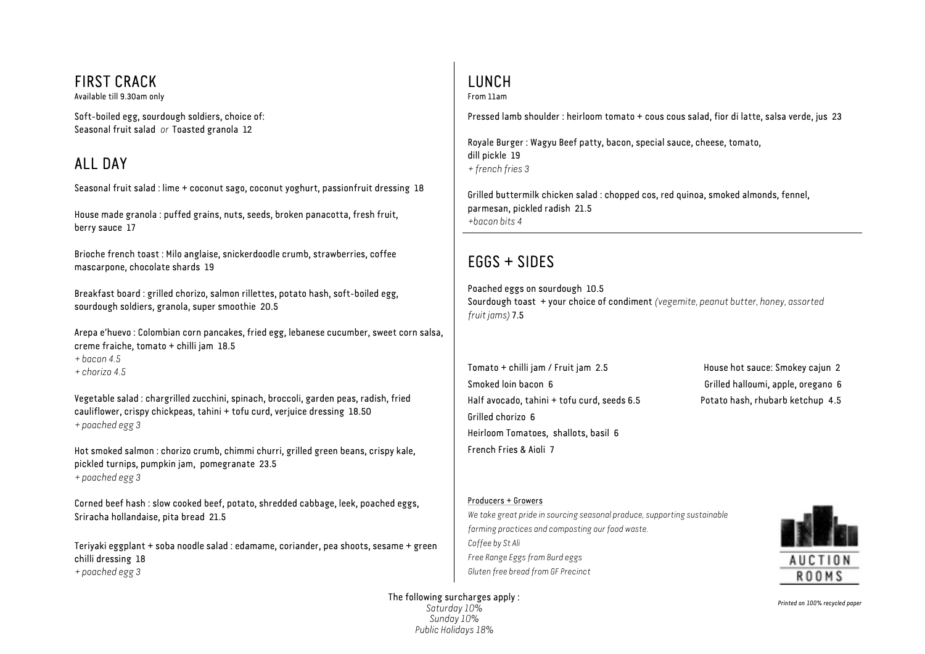# FIRST CRACK

Available till 9.30am only

Soft-boiled egg, sourdough soldiers, choice of: Seasonal fruit salad *or* Toasted granola 12

# ALL DAY

Seasonal fruit salad : lime + coconut sago, coconut yoghurt, passionfruit dressing 18

House made granola : puffed grains, nuts, seeds, broken panacotta, fresh fruit, berry sauce 17

Brioche french toast : Milo anglaise, snickerdoodle crumb, strawberries, coffee mascarpone, chocolate shards 19

Breakfast board : grilled chorizo, salmon rillettes, potato hash, soft-boiled egg, sourdough soldiers, granola, super smoothie 20.5

Arepa e'huevo : Colombian corn pancakes, fried egg, lebanese cucumber, sweet corn salsa, creme fraiche, tomato + chilli jam 18.5 *+ bacon 4.5* 

*+ chorizo 4.5* 

Vegetable salad : chargrilled zucchini, spinach, broccoli, garden peas, radish, fried cauliflower, crispy chickpeas, tahini + tofu curd, verjuice dressing 18.50 *+ poached egg 3* 

Hot smoked salmon : chorizo crumb, chimmi churri, grilled green beans, crispy kale, pickled turnips, pumpkin jam, pomegranate 23.5 *+ poached egg 3* 

Corned beef hash : slow cooked beef, potato, shredded cabbage, leek, poached eggs, Sriracha hollandaise, pita bread 21.5

Teriyaki eggplant + soba noodle salad : edamame, coriander, pea shoots, sesame + green chilli dressing 18 *+ poached egg 3* 

# LUNCH

From 11am

Pressed lamb shoulder : heirloom tomato + cous cous salad, fior di latte, salsa verde, jus 23

Royale Burger : Wagyu Beef patty, bacon, special sauce, cheese, tomato, dill pickle 19 *+ french fries 3* 

Grilled buttermilk chicken salad : chopped cos, red quinoa, smoked almonds, fennel, parmesan, pickled radish 21.5 *+bacon bits 4* 

# EGGS + SIDES

Poached eggs on sourdough 10.5 Sourdough toast + your choice of condiment *(vegemite, peanut butter, honey, assorted fruit jams)* 7.5

Tomato + chilli jam / Fruit jam 2.5 House hot sauce: Smokey cajun 2 Smoked loin bacon 6 Grilled halloumi, apple, oregano 6 Half avocado, tahini + tofu curd, seeds 6.5 Potato hash, rhubarb ketchup 4.5 Grilled chorizo 6 Heirloom Tomatoes, shallots, basil 6 French Fries & Aioli 7

#### Producers + Growers

*We take great pride in sourcing seasonal produce, supporting sustainable farming practices and composting our food waste. Coffee by St Ali Free Range Eggs from Burd eggs Gluten free bread from GF Precinct* 



The following surcharges apply : *Saturday 10% Sunday 10% Public Holidays 18%* 

*Printed on 100% recycled paper*